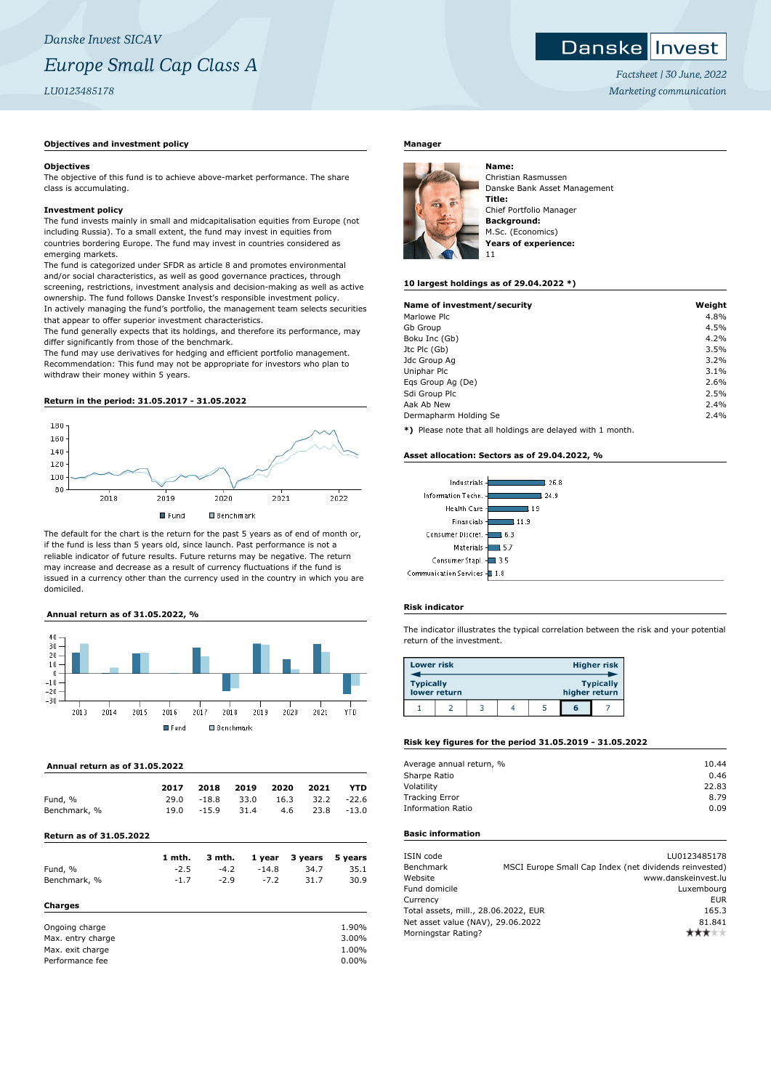### **Objectives and investment policy**

#### **Objectives**

The objective of this fund is to achieve above-market performance. The share class is accumulating.

#### **Investment policy**

The fund invests mainly in small and midcapitalisation equities from Europe (not including Russia). To a small extent, the fund may invest in equities from countries bordering Europe. The fund may invest in countries considered as emerging markets.

The fund is categorized under SFDR as article 8 and promotes environmental and/or social characteristics, as well as good governance practices, through screening, restrictions, investment analysis and decision-making as well as active ownership. The fund follows Danske Invest's responsible investment policy. In actively managing the fund's portfolio, the management team selects securities that appear to offer superior investment characteristics.

The fund generally expects that its holdings, and therefore its performance, may differ significantly from those of the benchmark.

The fund may use derivatives for hedging and efficient portfolio management. Recommendation: This fund may not be appropriate for investors who plan to withdraw their money within 5 years.

# **Return in the period: 31.05.2017 - 31.05.2022**



The default for the chart is the return for the past 5 years as of end of month or, if the fund is less than 5 years old, since launch. Past performance is not a reliable indicator of future results. Future returns may be negative. The return may increase and decrease as a result of currency fluctuations if the fund is issued in a currency other than the currency used in the country in which you are domiciled.

## **Annual return as of 31.05.2022, %**



#### **Annual return as of 31.05.2022**

|                         | 2017   | 2018    | 2019 | 2020    | 2021    | YTD      |
|-------------------------|--------|---------|------|---------|---------|----------|
| Fund, %                 | 29.0   | $-18.8$ | 33.0 | 16.3    | 32.2    | $-22.6$  |
| Benchmark, %            | 19.0   | $-15.9$ | 31.4 | 4.6     | 23.8    | $-13.0$  |
| Return as of 31.05.2022 |        |         |      |         |         |          |
|                         | 1 mth. | 3 mth.  |      | 1 year  | 3 years | 5 years  |
| Fund, %                 | $-2.5$ | $-4.2$  |      | $-14.8$ | 34.7    | 35.1     |
| Benchmark, %            | $-1.7$ | $-2.9$  |      | $-7.2$  | 31.7    | 30.9     |
| <b>Charges</b>          |        |         |      |         |         |          |
| Ongoing charge          |        |         |      |         |         | 1.90%    |
| Max. entry charge       |        |         |      |         |         | 3.00%    |
| Max. exit charge        |        |         |      |         |         | 1.00%    |
| Performance fee         |        |         |      |         |         | $0.00\%$ |

## **Manager**



Christian Rasmussen Danske Bank Asset Management **Title:** Chief Portfolio Manager **Background:** M.Sc. (Economics) **Years of experience:** 11

#### **10 largest holdings as of 29.04.2022 \*)**

| Weight |
|--------|
| 4.8%   |
| 4.5%   |
| 4.2%   |
| 3.5%   |
| 3.2%   |
| 3.1%   |
| 2.6%   |
| 2.5%   |
| 2.4%   |
| 2.4%   |
|        |

**\*)** Please note that all holdings are delayed with 1 month.

#### **Asset allocation: Sectors as of 29.04.2022, %**



#### **Risk indicator**

The indicator illustrates the typical correlation between the risk and your potential return of the investment.

| <b>Lower risk</b> |              |               |                  | <b>Higher risk</b> |
|-------------------|--------------|---------------|------------------|--------------------|
| <b>Typically</b>  | lower return | higher return | <b>Typically</b> |                    |
|                   |              |               | តេ               |                    |

# **Risk key figures for the period 31.05.2019 - 31.05.2022**

| Average annual return, % | 10.44 |
|--------------------------|-------|
| Sharpe Ratio             | 0.46  |
| Volatility               | 22.83 |
| <b>Tracking Error</b>    | 8.79  |
| Information Ratio        | 0.09  |
|                          |       |

## **Basic information**

| ISIN code<br>Benchmark               |  | LU0123485178<br>MSCI Europe Small Cap Index (net dividends reinvested) |
|--------------------------------------|--|------------------------------------------------------------------------|
| Website                              |  | www.danskeinvest.lu                                                    |
| Fund domicile                        |  | Luxembourg                                                             |
| Currency                             |  | <b>EUR</b>                                                             |
| Total assets, mill., 28.06.2022, EUR |  | 165.3                                                                  |
| Net asset value (NAV), 29.06.2022    |  | 81.841                                                                 |
| Morningstar Rating?                  |  |                                                                        |
|                                      |  |                                                                        |

*Factsheet | 30 June, 2022 Marketing communication*